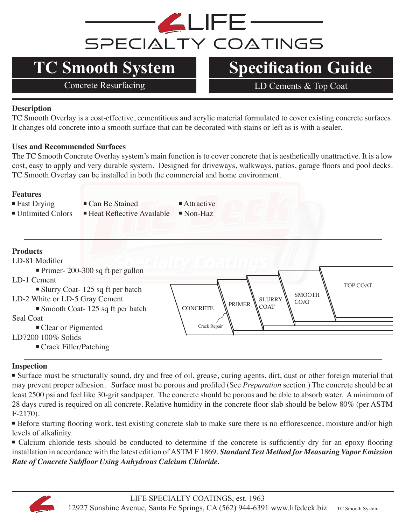

Concrete Resurfacing LD Cements & Top Coat

# **Description**

TC Smooth Overlay is a cost-effective, cementitious and acrylic material formulated to cover existing concrete surfaces. It changes old concrete into a smooth surface that can be decorated with stains or left as is with a sealer.

### **Uses and Recommended Surfaces**

The TC Smooth Concrete Overlay system's main function is to cover concrete that is aesthetically unattractive. It is a low cost, easy to apply and very durable system. Designed for driveways, walkways, patios, garage floors and pool decks. TC Smooth Overlay can be installed in both the commercial and home environment.

### **Features**

- Fast Drying III Can Be Stained III Attractive
- $\blacksquare$  Unlimited Colors  $\blacksquare$  Heat Reflective Available  $\blacksquare$  Non-Haz

# **Products**



## **Inspection**

■ Surface must be structurally sound, dry and free of oil, grease, curing agents, dirt, dust or other foreign material that may prevent proper adhesion. Surface must be porous and profiled (See *Preparation* section.) The concrete should be at least 2500 psi and feel like 30-grit sandpaper. The concrete should be porous and be able to absorb water. A minimum of 28 days cured is required on all concrete. Relative humidity in the concrete floor slab should be below 80% (per ASTM F-2170).

■ Before starting flooring work, test existing concrete slab to make sure there is no efflorescence, moisture and/or high levels of alkalinity.

<sup>n</sup>Calcium chloride tests should be conducted to determine if the concrete is sufficiently dry for an epoxy flooring installation in accordance with the latest edition of ASTM F 1869, *Standard Test Method for Measuring Vapor Emission Rate of Concrete Subfloor Using Anhydrous Calcium Chloride.* 

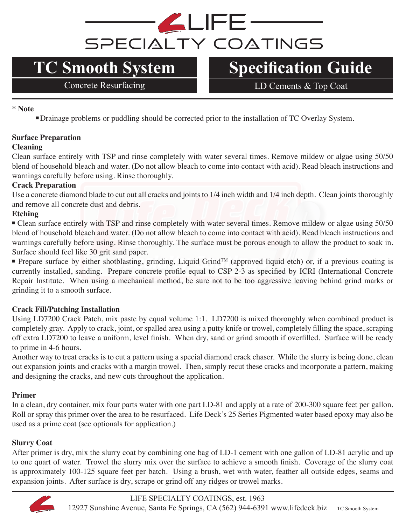

Concrete Resurfacing LD Cements & Top Coat

**\* Note**

■Drainage problems or puddling should be corrected prior to the installation of TC Overlay System.

# **Surface Preparation**

### **Cleaning**

Clean surface entirely with TSP and rinse completely with water several times. Remove mildew or algae using 50/50 blend of household bleach and water. (Do not allow bleach to come into contact with acid). Read bleach instructions and warnings carefully before using. Rinse thoroughly.

## **Crack Preparation**

Use a concrete diamond blade to cut out all cracks and joints to 1/4 inch width and 1/4 inch depth. Clean joints thoroughly and remove all concrete dust and debris.

## **Etching**

<sup>n</sup>Clean surface entirely with TSP and rinse completely with water several times. Remove mildew or algae using 50/50 blend of household bleach and water. (Do not allow bleach to come into contact with acid). Read bleach instructions and warnings carefully before using. Rinse thoroughly. The surface must be porous enough to allow the product to soak in. Surface should feel like 30 grit sand paper.

Prepare surface by either shotblasting, grinding, Liquid Grind<sup>TM</sup> (approved liquid etch) or, if a previous coating is currently installed, sanding. Prepare concrete profile equal to CSP 2-3 as specified by ICRI (International Concrete Repair Institute. When using a mechanical method, be sure not to be too aggressive leaving behind grind marks or grinding it to a smooth surface.

## **Crack Fill/Patching Installation**

Using LD7200 Crack Patch, mix paste by equal volume 1:1. LD7200 is mixed thoroughly when combined product is completely gray. Apply to crack, joint, or spalled area using a putty knife or trowel, completely filling the space, scraping off extra LD7200 to leave a uniform, level finish. When dry, sand or grind smooth if overfilled. Surface will be ready to prime in 4-6 hours.

Another way to treat cracks is to cut a pattern using a special diamond crack chaser. While the slurry is being done, clean out expansion joints and cracks with a margin trowel. Then, simply recut these cracks and incorporate a pattern, making and designing the cracks, and new cuts throughout the application.

## **Primer**

In a clean, dry container, mix four parts water with one part LD-81 and apply at a rate of 200-300 square feet per gallon. Roll or spray this primer over the area to be resurfaced. Life Deck's 25 Series Pigmented water based epoxy may also be used as a prime coat (see optionals for application.)

## **Slurry Coat**

After primer is dry, mix the slurry coat by combining one bag of LD-1 cement with one gallon of LD-81 acrylic and up to one quart of water. Trowel the slurry mix over the surface to achieve a smooth finish. Coverage of the slurry coat is approximately 100-125 square feet per batch. Using a brush, wet with water, feather all outside edges, seams and expansion joints. After surface is dry, scrape or grind off any ridges or trowel marks.

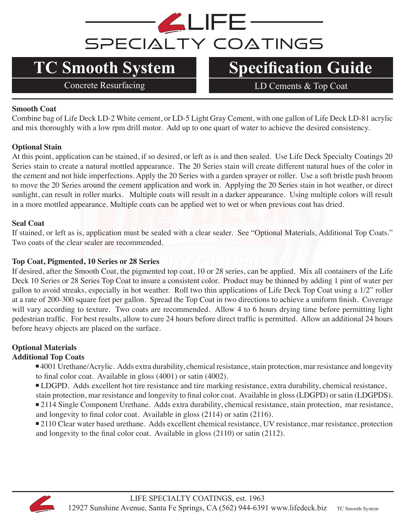

Concrete Resurfacing LD Cements & Top Coat

### **Smooth Coat**

Combine bag of Life Deck LD-2 White cement, or LD-5 Light Gray Cement, with one gallon of Life Deck LD-81 acrylic and mix thoroughly with a low rpm drill motor. Add up to one quart of water to achieve the desired consistency.

### **Optional Stain**

At this point, application can be stained, if so desired, or left as is and then sealed. Use Life Deck Specialty Coatings 20 Series stain to create a natural mottled appearance. The 20 Series stain will create different natural hues of the color in the cement and not hide imperfections. Apply the 20 Series with a garden sprayer or roller. Use a soft bristle push broom to move the 20 Series around the cement application and work in. Applying the 20 Series stain in hot weather, or direct sunlight, can result in roller marks. Multiple coats will result in a darker appearance. Using multiple colors will result in a more mottled appearance. Multiple coats can be applied wet to wet or when previous coat has dried.

### **Seal Coat**

If stained, or left as is, application must be sealed with a clear sealer. See "Optional Materials, Additional Top Coats." Two coats of the clear sealer are recommended.

### **Top Coat, Pigmented, 10 Series or 28 Series**

If desired, after the Smooth Coat, the pigmented top coat, 10 or 28 series, can be applied. Mix all containers of the Life Deck 10 Series or 28 Series Top Coat to insure a consistent color. Product may be thinned by adding 1 pint of water per gallon to avoid streaks, especially in hot weather. Roll two thin applications of Life Deck Top Coat using a 1/2" roller at a rate of 200-300 square feet per gallon. Spread the Top Coat in two directions to achieve a uniform finish. Coverage will vary according to texture. Two coats are recommended. Allow 4 to 6 hours drying time before permitting light pedestrian traffic. For best results, allow to cure 24 hours before direct traffic is permitted. Allow an additional 24 hours before heavy objects are placed on the surface.

# **Optional Materials**

## **Additional Top Coats**

<sup>n</sup> 4001 Urethane/Acrylic. Adds extra durability, chemical resistance, stain protection, mar resistance and longevity to final color coat. Available in gloss (4001) or satin (4002).

<sup>n</sup> LDGPD. Adds excellent hot tire resistance and tire marking resistance, extra durability, chemical resistance, stain protection, mar resistance and longevity to final color coat. Available in gloss (LDGPD) or satin (LDGPDS). <sup>n</sup> 2114 Single Component Urethane. Adds extra durability, chemical resistance, stain protection, mar resistance,

and longevity to final color coat. Available in gloss (2114) or satin (2116).

■ 2110 Clear water based urethane. Adds excellent chemical resistance, UV resistance, mar resistance, protection and longevity to the final color coat. Available in gloss (2110) or satin (2112).